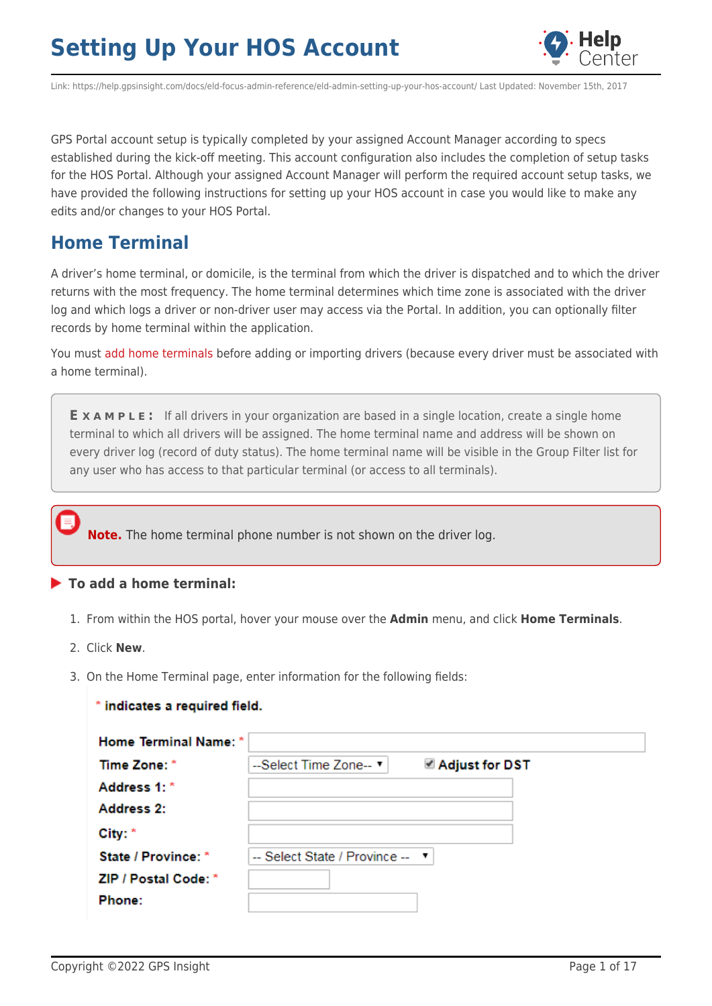

Link: https://help.gpsinsight.com/docs/eld-focus-admin-reference/eld-admin-setting-up-your-hos-account/ Last Updated: November 15th, 2017

GPS Portal account setup is typically completed by your assigned Account Manager according to specs established during the kick-off meeting. This account configuration also includes the completion of setup tasks for the HOS Portal. Although your assigned Account Manager will perform the required account setup tasks, we have provided the following instructions for setting up your HOS account in case you would like to make any edits and/or changes to your HOS Portal.

## **Home Terminal**

A driver's home terminal, or domicile, is the terminal from which the driver is dispatched and to which the driver returns with the most frequency. The home terminal determines which time zone is associated with the driver log and which logs a driver or non-driver user may access via the Portal. In addition, you can optionally filter records by home terminal within the application.

You must [add home terminals](https://help.gpsinsight.com/best-practice/hos-customer-worksheet/) before adding or importing drivers (because every driver must be associated with a home terminal).

**E X A M P L E :** If all drivers in your organization are based in a single location, create a single home terminal to which all drivers will be assigned. The home terminal name and address will be shown on every driver log (record of duty status). The home terminal name will be visible in the Group Filter list for any user who has access to that particular terminal (or access to all terminals).

**Note.** The home terminal phone number is not shown on the driver log.

### **To add a home terminal:**

- 1. From within the HOS portal, hover your mouse over the **Admin** menu, and click **Home Terminals**.
- 2. Click **New**.
- 3. On the Home Terminal page, enter information for the following fields:

| * indicates a required field. |                                 |                         |  |
|-------------------------------|---------------------------------|-------------------------|--|
| Home Terminal Name: *         |                                 |                         |  |
| Time Zone: *                  | --Select Time Zone-- ▼          | <b>■ Adjust for DST</b> |  |
| Address 1: *                  |                                 |                         |  |
| <b>Address 2:</b>             |                                 |                         |  |
| City: *                       |                                 |                         |  |
| <b>State / Province: *</b>    | -- Select State / Province -- " |                         |  |
| ZIP / Postal Code: *          |                                 |                         |  |
| <b>Phone:</b>                 |                                 |                         |  |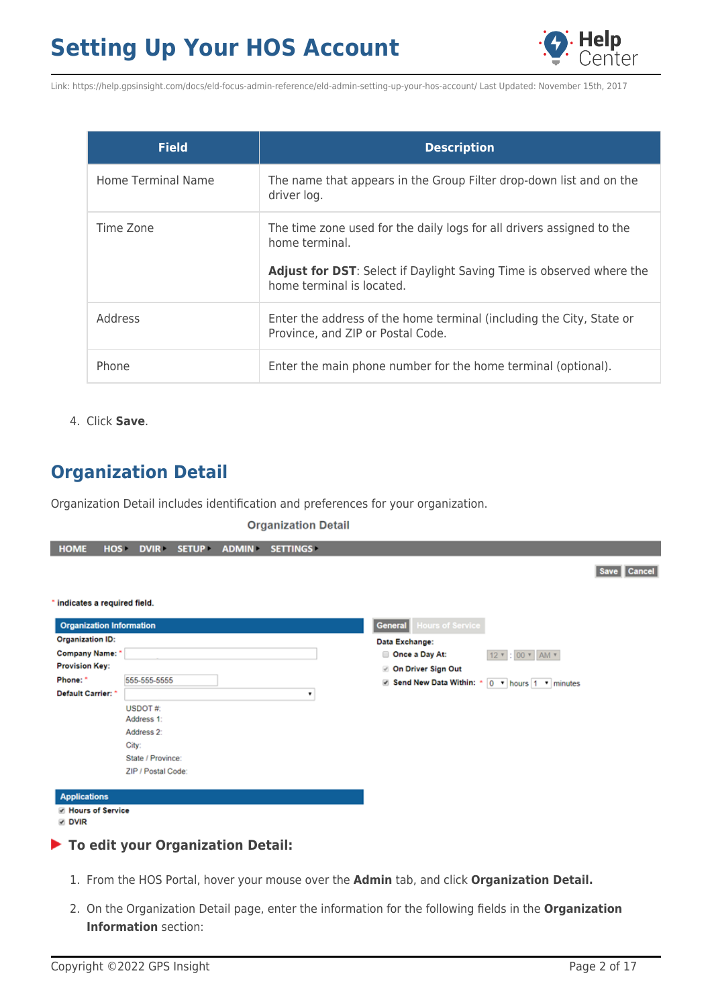

| <b>Field</b>       | <b>Description</b>                                                                                                                                                                                  |
|--------------------|-----------------------------------------------------------------------------------------------------------------------------------------------------------------------------------------------------|
| Home Terminal Name | The name that appears in the Group Filter drop-down list and on the<br>driver log.                                                                                                                  |
| Time Zone          | The time zone used for the daily logs for all drivers assigned to the<br>home terminal.<br><b>Adjust for DST:</b> Select if Daylight Saving Time is observed where the<br>home terminal is located. |
| Address            | Enter the address of the home terminal (including the City, State or<br>Province, and ZIP or Postal Code.                                                                                           |
| Phone              | Enter the main phone number for the home terminal (optional).                                                                                                                                       |

4. Click **Save**.

## **Organization Detail**

Organization Detail includes identification and preferences for your organization.

#### **Organization Detail**

| <b>HOME</b>                              | HOS- | <b>DVIR</b>        | <b>SETUP</b> | <b>ADMIN</b> | <b>SETTINGS</b> |                                                        |             |
|------------------------------------------|------|--------------------|--------------|--------------|-----------------|--------------------------------------------------------|-------------|
|                                          |      |                    |              |              |                 |                                                        | Save Cancel |
| * indicates a required field.            |      |                    |              |              |                 |                                                        |             |
| <b>Organization Information</b>          |      |                    |              |              |                 | <b>Hours of Service</b><br><b>General</b>              |             |
| <b>Organization ID:</b>                  |      |                    |              |              |                 | Data Exchange:                                         |             |
| Company Name: *                          |      |                    |              |              |                 | Once a Day At:<br>12 * : 00 * AM *                     |             |
| <b>Provision Key:</b>                    |      |                    |              |              |                 | <b>On Driver Sign Out</b>                              |             |
| Phone: *                                 |      | 555-555-5555       |              |              |                 | <b>Ø Send New Data Within: *</b> 0 ▼ hours 1 ▼ minutes |             |
| Default Carrier: *                       |      |                    |              |              | ۰               |                                                        |             |
|                                          |      | USDOT#:            |              |              |                 |                                                        |             |
|                                          |      | Address 1:         |              |              |                 |                                                        |             |
|                                          |      | Address 2:         |              |              |                 |                                                        |             |
|                                          |      | City:              |              |              |                 |                                                        |             |
|                                          |      | State / Province:  |              |              |                 |                                                        |             |
|                                          |      | ZIP / Postal Code: |              |              |                 |                                                        |             |
| <b>Applications</b>                      |      |                    |              |              |                 |                                                        |             |
| <b>E</b> Hours of Service<br><b>DVIR</b> |      |                    |              |              |                 |                                                        |             |
| To edit your Organization Detail:        |      |                    |              |              |                 |                                                        |             |

- 1. From the HOS Portal, hover your mouse over the **Admin** tab, and click **Organization Detail.**
- 2. On the Organization Detail page, enter the information for the following fields in the **Organization Information** section: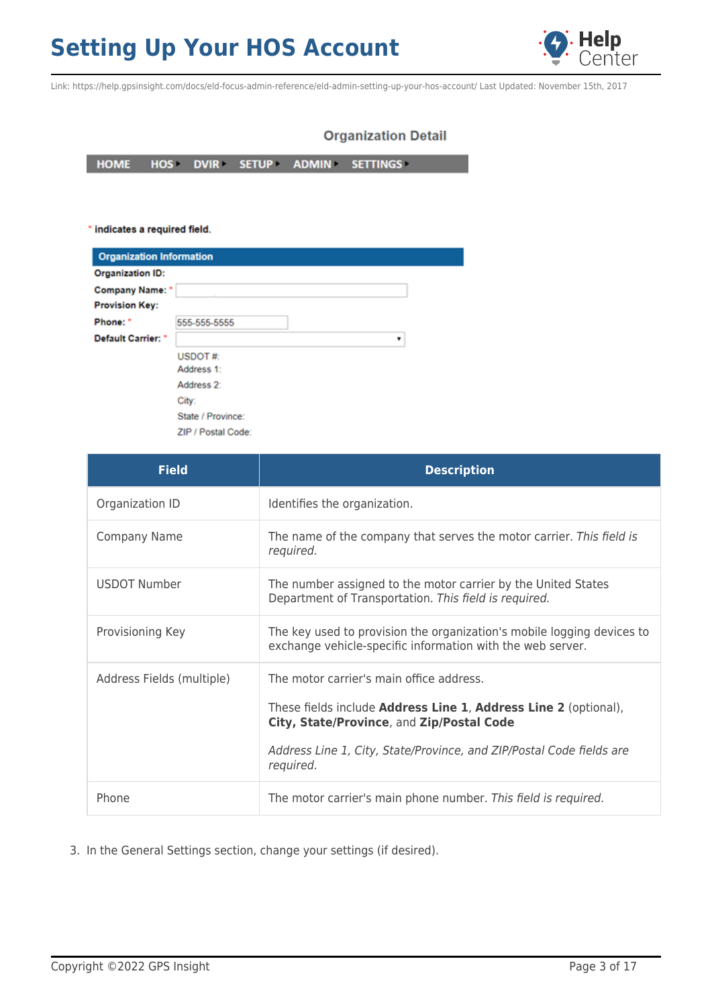

Link: https://help.gpsinsight.com/docs/eld-focus-admin-reference/eld-admin-setting-up-your-hos-account/ Last Updated: November 15th, 2017

### **Organization Detail**

**HOME** HOS DVIR SETUP ADMIN SETTINGS

\* indicates a required field.

| <b>Organization Information</b> |                    |   |
|---------------------------------|--------------------|---|
| <b>Organization ID:</b>         |                    |   |
| <b>Company Name:</b> *          |                    |   |
| <b>Provision Key:</b>           |                    |   |
| Phone: *                        | 555-555-5555       |   |
| Default Carrier: *              |                    | ٠ |
|                                 | USDOT#:            |   |
|                                 | Address 1:         |   |
|                                 | Address 2:         |   |
|                                 | City:              |   |
|                                 | State / Province:  |   |
|                                 | ZIP / Postal Code: |   |

| <b>Field</b>              | <b>Description</b>                                                                                                                                                                                                                                   |
|---------------------------|------------------------------------------------------------------------------------------------------------------------------------------------------------------------------------------------------------------------------------------------------|
| Organization ID           | Identifies the organization.                                                                                                                                                                                                                         |
| <b>Company Name</b>       | The name of the company that serves the motor carrier. This field is<br>required.                                                                                                                                                                    |
| <b>USDOT Number</b>       | The number assigned to the motor carrier by the United States<br>Department of Transportation. This field is required.                                                                                                                               |
| Provisioning Key          | The key used to provision the organization's mobile logging devices to<br>exchange vehicle-specific information with the web server.                                                                                                                 |
| Address Fields (multiple) | The motor carrier's main office address.<br>These fields include <b>Address Line 1, Address Line 2</b> (optional),<br>City, State/Province, and Zip/Postal Code<br>Address Line 1, City, State/Province, and ZIP/Postal Code fields are<br>required. |
| Phone                     | The motor carrier's main phone number. This field is required.                                                                                                                                                                                       |

3. In the General Settings section, change your settings (if desired).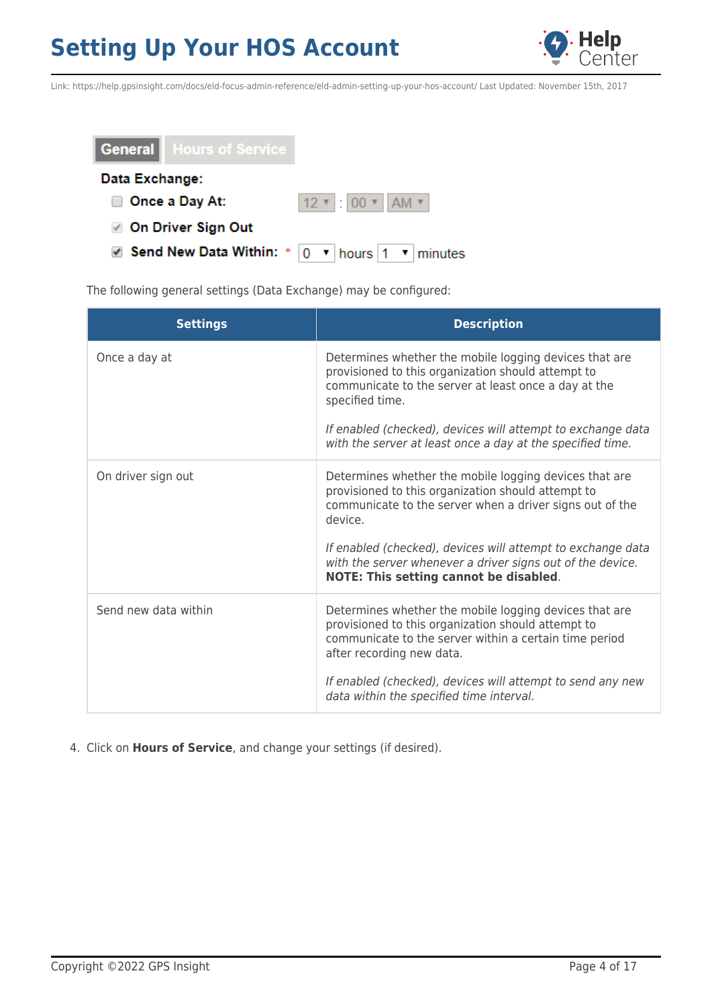



The following general settings (Data Exchange) may be configured:

| <b>Settings</b>      | <b>Description</b>                                                                                                                                                                                                                                                                                                                                                |
|----------------------|-------------------------------------------------------------------------------------------------------------------------------------------------------------------------------------------------------------------------------------------------------------------------------------------------------------------------------------------------------------------|
| Once a day at        | Determines whether the mobile logging devices that are<br>provisioned to this organization should attempt to<br>communicate to the server at least once a day at the<br>specified time.<br>If enabled (checked), devices will attempt to exchange data<br>with the server at least once a day at the specified time.                                              |
| On driver sign out   | Determines whether the mobile logging devices that are<br>provisioned to this organization should attempt to<br>communicate to the server when a driver signs out of the<br>device.<br>If enabled (checked), devices will attempt to exchange data<br>with the server whenever a driver signs out of the device.<br><b>NOTE: This setting cannot be disabled.</b> |
| Send new data within | Determines whether the mobile logging devices that are<br>provisioned to this organization should attempt to<br>communicate to the server within a certain time period<br>after recording new data.<br>If enabled (checked), devices will attempt to send any new<br>data within the specified time interval.                                                     |

4. Click on **Hours of Service**, and change your settings (if desired).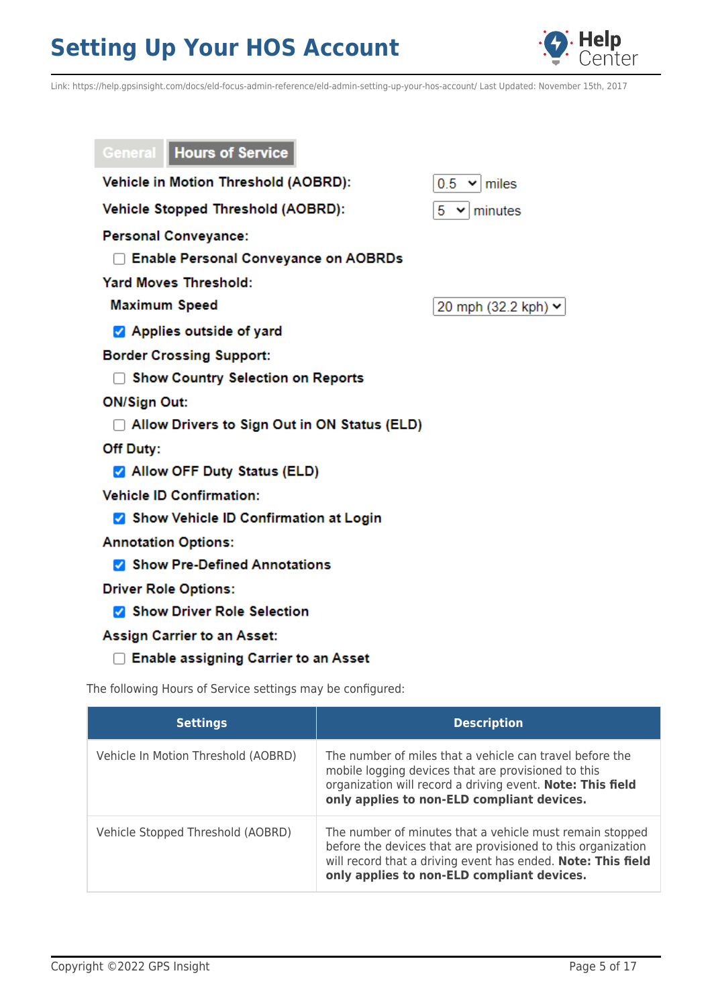

Link: https://help.gpsinsight.com/docs/eld-focus-admin-reference/eld-admin-setting-up-your-hos-account/ Last Updated: November 15th, 2017

| <b>General   Hours of Service</b>              |                          |
|------------------------------------------------|--------------------------|
| Vehicle in Motion Threshold (AOBRD):           | $0.5 \times  m $         |
| <b>Vehicle Stopped Threshold (AOBRD):</b>      | $5 \times$<br>minutes    |
| <b>Personal Conveyance:</b>                    |                          |
| □ Enable Personal Conveyance on AOBRDs         |                          |
| <b>Yard Moves Threshold:</b>                   |                          |
| <b>Maximum Speed</b>                           | 20 mph (32.2 kph) $\vee$ |
| Applies outside of yard                        |                          |
| <b>Border Crossing Support:</b>                |                          |
| <b>Show Country Selection on Reports</b>       |                          |
| <b>ON/Sign Out:</b>                            |                          |
| □ Allow Drivers to Sign Out in ON Status (ELD) |                          |
| Off Duty:                                      |                          |
| Allow OFF Duty Status (ELD)                    |                          |
| <b>Vehicle ID Confirmation:</b>                |                          |
| Show Vehicle ID Confirmation at Login          |                          |
| <b>Annotation Options:</b>                     |                          |
| Show Pre-Defined Annotations                   |                          |
| <b>Driver Role Options:</b>                    |                          |
| Show Driver Role Selection                     |                          |
| <b>Assign Carrier to an Asset:</b>             |                          |

□ Enable assigning Carrier to an Asset

The following Hours of Service settings may be configured:

| <b>Settings</b>                     | <b>Description</b>                                                                                                                                                                                                                     |
|-------------------------------------|----------------------------------------------------------------------------------------------------------------------------------------------------------------------------------------------------------------------------------------|
| Vehicle In Motion Threshold (AOBRD) | The number of miles that a vehicle can travel before the<br>mobile logging devices that are provisioned to this<br>organization will record a driving event. Note: This field<br>only applies to non-ELD compliant devices.            |
| Vehicle Stopped Threshold (AOBRD)   | The number of minutes that a vehicle must remain stopped<br>before the devices that are provisioned to this organization<br>will record that a driving event has ended. Note: This field<br>only applies to non-ELD compliant devices. |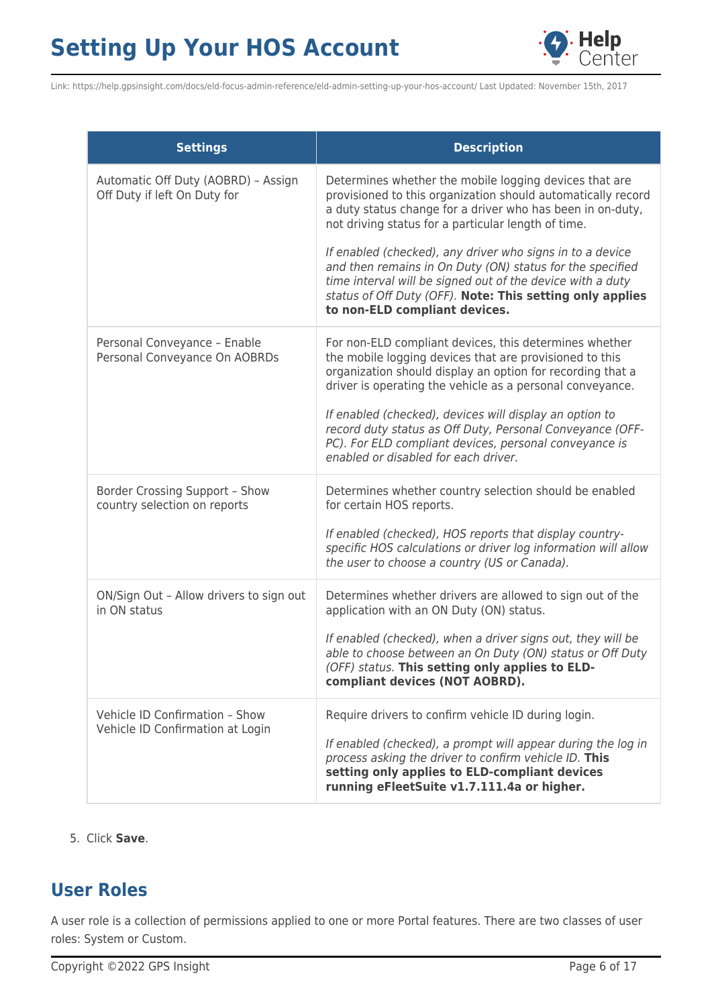

Link: https://help.gpsinsight.com/docs/eld-focus-admin-reference/eld-admin-setting-up-your-hos-account/ Last Updated: November 15th, 2017

| <b>Settings</b>                                                     | <b>Description</b>                                                                                                                                                                                                                                                                                                                                                                                                                                                                                                                |
|---------------------------------------------------------------------|-----------------------------------------------------------------------------------------------------------------------------------------------------------------------------------------------------------------------------------------------------------------------------------------------------------------------------------------------------------------------------------------------------------------------------------------------------------------------------------------------------------------------------------|
| Automatic Off Duty (AOBRD) - Assign<br>Off Duty if left On Duty for | Determines whether the mobile logging devices that are<br>provisioned to this organization should automatically record<br>a duty status change for a driver who has been in on-duty,<br>not driving status for a particular length of time.<br>If enabled (checked), any driver who signs in to a device<br>and then remains in On Duty (ON) status for the specified<br>time interval will be signed out of the device with a duty<br>status of Off Duty (OFF). Note: This setting only applies<br>to non-ELD compliant devices. |
| Personal Conveyance - Enable<br>Personal Conveyance On AOBRDs       | For non-ELD compliant devices, this determines whether<br>the mobile logging devices that are provisioned to this<br>organization should display an option for recording that a<br>driver is operating the vehicle as a personal conveyance.<br>If enabled (checked), devices will display an option to<br>record duty status as Off Duty, Personal Conveyance (OFF-<br>PC). For ELD compliant devices, personal conveyance is<br>enabled or disabled for each driver.                                                            |
| Border Crossing Support - Show<br>country selection on reports      | Determines whether country selection should be enabled<br>for certain HOS reports.<br>If enabled (checked), HOS reports that display country-<br>specific HOS calculations or driver log information will allow<br>the user to choose a country (US or Canada).                                                                                                                                                                                                                                                                   |
| ON/Sign Out - Allow drivers to sign out<br>in ON status             | Determines whether drivers are allowed to sign out of the<br>application with an ON Duty (ON) status.<br>If enabled (checked), when a driver signs out, they will be<br>able to choose between an On Duty (ON) status or Off Duty<br>(OFF) status. This setting only applies to ELD-<br>compliant devices (NOT AOBRD).                                                                                                                                                                                                            |
| Vehicle ID Confirmation - Show<br>Vehicle ID Confirmation at Login  | Require drivers to confirm vehicle ID during login.<br>If enabled (checked), a prompt will appear during the log in<br>process asking the driver to confirm vehicle ID. This<br>setting only applies to ELD-compliant devices<br>running eFleetSuite v1.7.111.4a or higher.                                                                                                                                                                                                                                                       |

### 5. Click **Save**.

## **User Roles**

A user role is a collection of permissions applied to one or more Portal features. There are two classes of user roles: System or Custom.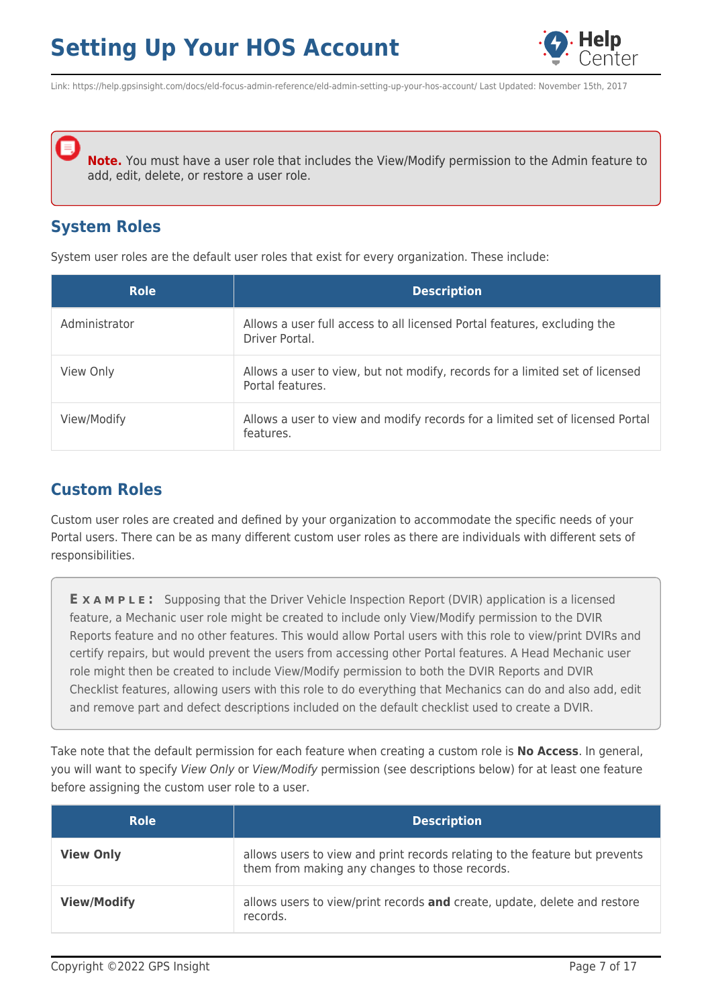

Link: https://help.gpsinsight.com/docs/eld-focus-admin-reference/eld-admin-setting-up-your-hos-account/ Last Updated: November 15th, 2017

**Note.** You must have a user role that includes the View/Modify permission to the Admin feature to add, edit, delete, or restore a user role.

### **System Roles**

System user roles are the default user roles that exist for every organization. These include:

| <b>Role</b>   | <b>Description</b>                                                                               |
|---------------|--------------------------------------------------------------------------------------------------|
| Administrator | Allows a user full access to all licensed Portal features, excluding the<br>Driver Portal.       |
| View Only     | Allows a user to view, but not modify, records for a limited set of licensed<br>Portal features. |
| View/Modify   | Allows a user to view and modify records for a limited set of licensed Portal<br>features.       |

## **Custom Roles**

Custom user roles are created and defined by your organization to accommodate the specific needs of your Portal users. There can be as many different custom user roles as there are individuals with different sets of responsibilities.

**E X A M P L E :** Supposing that the Driver Vehicle Inspection Report (DVIR) application is a licensed feature, a Mechanic user role might be created to include only View/Modify permission to the DVIR Reports feature and no other features. This would allow Portal users with this role to view/print DVIRs and certify repairs, but would prevent the users from accessing other Portal features. A Head Mechanic user role might then be created to include View/Modify permission to both the DVIR Reports and DVIR Checklist features, allowing users with this role to do everything that Mechanics can do and also add, edit and remove part and defect descriptions included on the default checklist used to create a DVIR.

Take note that the default permission for each feature when creating a custom role is **No Access**. In general, you will want to specify View Only or View/Modify permission (see descriptions below) for at least one feature before assigning the custom user role to a user.

| <b>Role</b>        | <b>Description</b>                                                                                                            |
|--------------------|-------------------------------------------------------------------------------------------------------------------------------|
| <b>View Only</b>   | allows users to view and print records relating to the feature but prevents<br>them from making any changes to those records. |
| <b>View/Modify</b> | allows users to view/print records and create, update, delete and restore<br>records.                                         |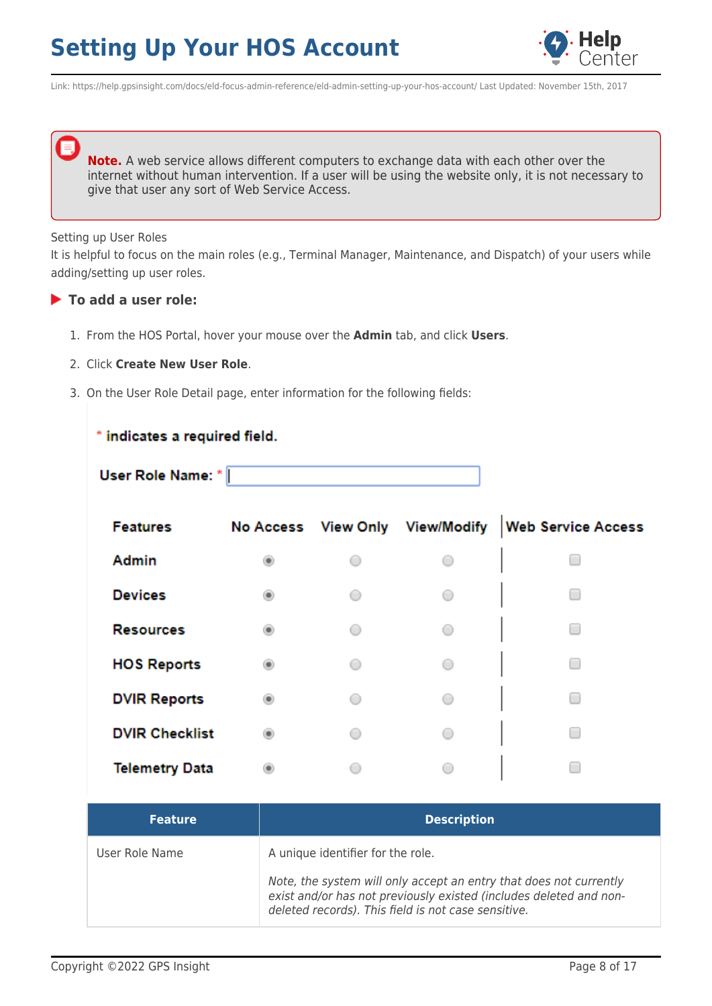

Link: https://help.gpsinsight.com/docs/eld-focus-admin-reference/eld-admin-setting-up-your-hos-account/ Last Updated: November 15th, 2017

**Note.** A web service allows different computers to exchange data with each other over the internet without human intervention. If a user will be using the website only, it is not necessary to give that user any sort of Web Service Access.

#### Setting up User Roles

It is helpful to focus on the main roles (e.g., Terminal Manager, Maintenance, and Dispatch) of your users while adding/setting up user roles.

### **To add a user role:**

- 1. From the HOS Portal, hover your mouse over the **Admin** tab, and click **Users**.
- 2. Click **Create New User Role**.
- 3. On the User Role Detail page, enter information for the following fields:

### \* indicates a required field.

| User Role Name: * |  |
|-------------------|--|
|                   |  |

| <b>Features</b>       |            | No Access View Only View/Modify | <b>Web Service Access</b> |
|-----------------------|------------|---------------------------------|---------------------------|
| Admin                 |            |                                 |                           |
| <b>Devices</b>        |            | $\bigcirc$                      |                           |
| <b>Resources</b>      |            | $\bigcirc$                      |                           |
| <b>HOS Reports</b>    |            | $\bigcirc$                      |                           |
| <b>DVIR Reports</b>   |            | $\cap$                          |                           |
| <b>DVIR Checklist</b> | $\bigcirc$ | $\bigcirc$                      |                           |
| <b>Telemetry Data</b> |            |                                 |                           |

| <b>Feature</b> | <b>Description</b>                                                                                                                                                                                                                   |
|----------------|--------------------------------------------------------------------------------------------------------------------------------------------------------------------------------------------------------------------------------------|
| User Role Name | A unique identifier for the role.<br>Note, the system will only accept an entry that does not currently<br>exist and/or has not previously existed (includes deleted and non-<br>deleted records). This field is not case sensitive. |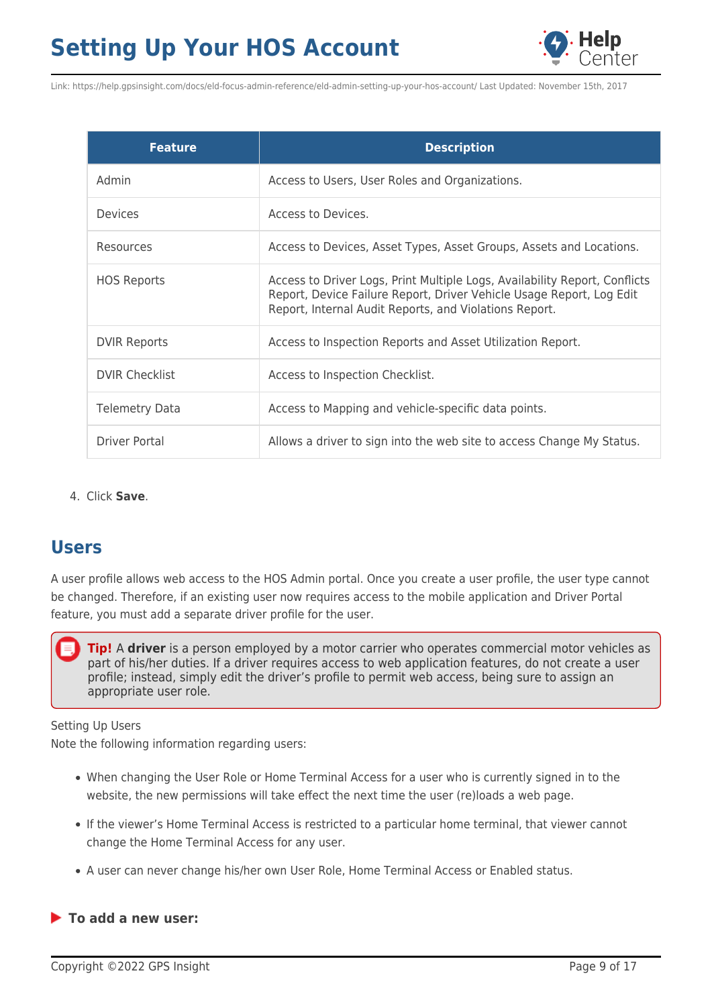

| <b>Feature</b>        | <b>Description</b>                                                                                                                                                                                           |
|-----------------------|--------------------------------------------------------------------------------------------------------------------------------------------------------------------------------------------------------------|
| Admin                 | Access to Users, User Roles and Organizations.                                                                                                                                                               |
| Devices               | Access to Devices.                                                                                                                                                                                           |
| Resources             | Access to Devices, Asset Types, Asset Groups, Assets and Locations.                                                                                                                                          |
| <b>HOS Reports</b>    | Access to Driver Logs, Print Multiple Logs, Availability Report, Conflicts<br>Report, Device Failure Report, Driver Vehicle Usage Report, Log Edit<br>Report, Internal Audit Reports, and Violations Report. |
| <b>DVIR Reports</b>   | Access to Inspection Reports and Asset Utilization Report.                                                                                                                                                   |
| <b>DVIR Checklist</b> | Access to Inspection Checklist.                                                                                                                                                                              |
| <b>Telemetry Data</b> | Access to Mapping and vehicle-specific data points.                                                                                                                                                          |
| Driver Portal         | Allows a driver to sign into the web site to access Change My Status.                                                                                                                                        |

4. Click **Save**.

## **Users**

A user profile allows web access to the HOS Admin portal. Once you create a user profile, the user type cannot be changed. Therefore, if an existing user now requires access to the mobile application and Driver Portal feature, you must add a separate driver profile for the user.

**Tip!** A **driver** is a person employed by a motor carrier who operates commercial motor vehicles as part of his/her duties. If a driver requires access to web application features, do not create a user profile; instead, simply edit the driver's profile to permit web access, being sure to assign an appropriate user role.

### Setting Up Users

Note the following information regarding users:

- When changing the User Role or Home Terminal Access for a user who is currently signed in to the website, the new permissions will take effect the next time the user (re)loads a web page.
- If the viewer's Home Terminal Access is restricted to a particular home terminal, that viewer cannot change the Home Terminal Access for any user.
- A user can never change his/her own User Role, Home Terminal Access or Enabled status.

### **To add a new user:**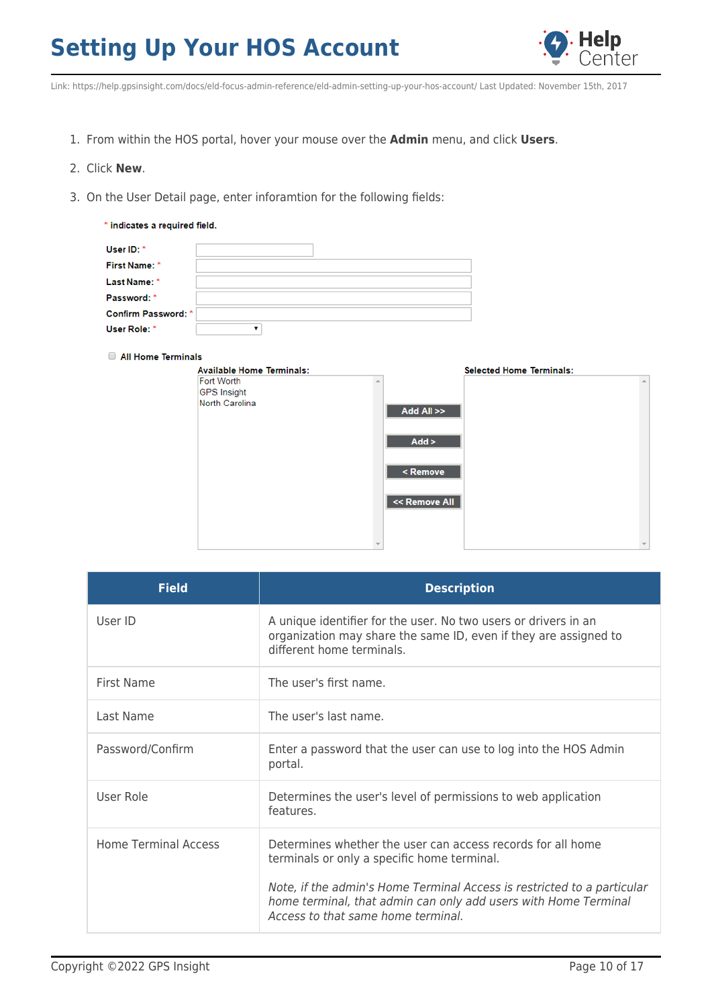

Link: https://help.gpsinsight.com/docs/eld-focus-admin-reference/eld-admin-setting-up-your-hos-account/ Last Updated: November 15th, 2017

- 1. From within the HOS portal, hover your mouse over the **Admin** menu, and click **Users**.
- 2. Click **New**.
- 3. On the User Detail page, enter inforamtion for the following fields:

| * indicates a required field. |  |  |  |  |  |  |
|-------------------------------|--|--|--|--|--|--|
| User ID: *                    |  |  |  |  |  |  |
| First Name: *                 |  |  |  |  |  |  |
| Last Name: *                  |  |  |  |  |  |  |
| Password: *                   |  |  |  |  |  |  |
| <b>Confirm Password: *</b>    |  |  |  |  |  |  |
| User Role: *                  |  |  |  |  |  |  |

#### All Home Terminals

| <b>Available Home Terminals:</b> |                                             | <b>Selected Home Terminals:</b> |  |
|----------------------------------|---------------------------------------------|---------------------------------|--|
| Fort Worth                       |                                             |                                 |  |
| <b>GPS Insight</b>               |                                             |                                 |  |
| North Carolina                   | Add All >>                                  |                                 |  |
|                                  | Add >                                       |                                 |  |
|                                  | <remove< td=""><td></td><td></td></remove<> |                                 |  |
|                                  | << Remove All                               |                                 |  |
|                                  |                                             |                                 |  |
|                                  |                                             |                                 |  |

| <b>Field</b>                | <b>Description</b>                                                                                                                                                                                                                                                                             |
|-----------------------------|------------------------------------------------------------------------------------------------------------------------------------------------------------------------------------------------------------------------------------------------------------------------------------------------|
| User ID                     | A unique identifier for the user. No two users or drivers in an<br>organization may share the same ID, even if they are assigned to<br>different home terminals.                                                                                                                               |
| First Name                  | The user's first name.                                                                                                                                                                                                                                                                         |
| Last Name                   | The user's last name.                                                                                                                                                                                                                                                                          |
| Password/Confirm            | Enter a password that the user can use to log into the HOS Admin<br>portal.                                                                                                                                                                                                                    |
| User Role                   | Determines the user's level of permissions to web application<br>features.                                                                                                                                                                                                                     |
| <b>Home Terminal Access</b> | Determines whether the user can access records for all home<br>terminals or only a specific home terminal.<br>Note, if the admin's Home Terminal Access is restricted to a particular<br>home terminal, that admin can only add users with Home Terminal<br>Access to that same home terminal. |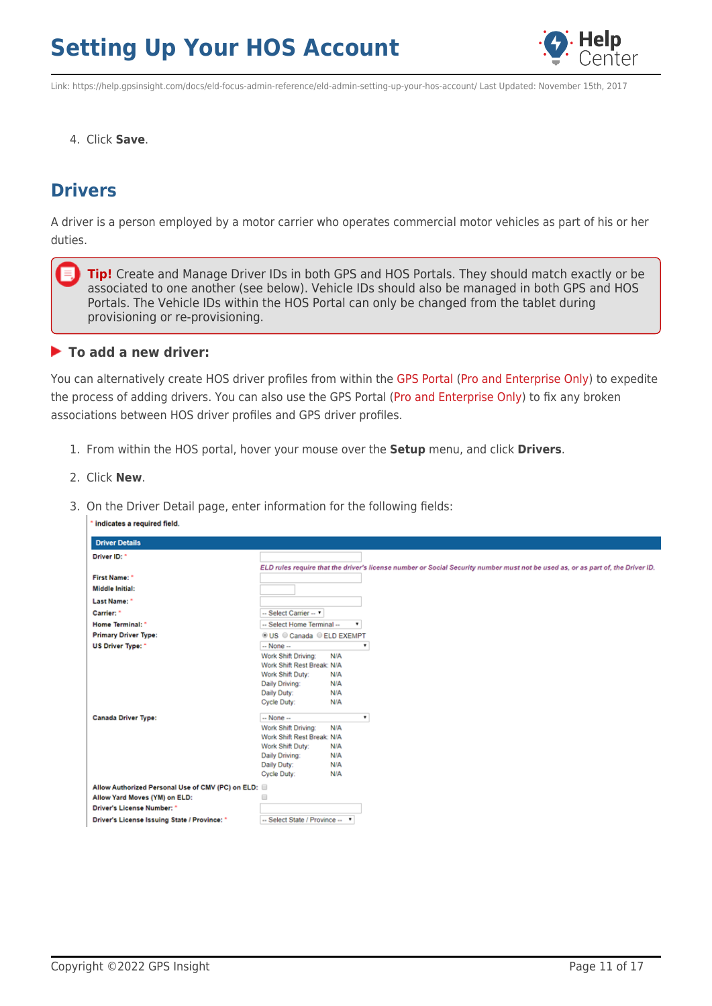

Link: https://help.gpsinsight.com/docs/eld-focus-admin-reference/eld-admin-setting-up-your-hos-account/ Last Updated: November 15th, 2017

4. Click **Save**.

## **Drivers**

A driver is a person employed by a motor carrier who operates commercial motor vehicles as part of his or her duties.

**Tip!** Create and Manage Driver IDs in both GPS and HOS Portals. They should match exactly or be associated to one another (see below). Vehicle IDs should also be managed in both GPS and HOS Portals. The Vehicle IDs within the HOS Portal can only be changed from the tablet during provisioning or re-provisioning.

### **To add a new driver:**

You can alternatively create HOS driver profiles from within the [GPS Portal](https://help.gpsinsight.com/docs/hos/administrator-reference/configuring-hos-integration/) [\(Pro and Enterprise Only](https://help.gpsinsight.com/looking-to-upgrade/)) to expedite the process of adding drivers. You can also use the GPS Portal [\(Pro and Enterprise Only](https://help.gpsinsight.com/looking-to-upgrade/)) to fix any broken associations between HOS driver profiles and GPS driver profiles.

- 1. From within the HOS portal, hover your mouse over the **Setup** menu, and click **Drivers**.
- 2. Click **New**.
- 3. On the Driver Detail page, enter information for the following fields:

| indicates a required field.                         |                                                                                                                                       |                                                       |                                                                                                                                 |
|-----------------------------------------------------|---------------------------------------------------------------------------------------------------------------------------------------|-------------------------------------------------------|---------------------------------------------------------------------------------------------------------------------------------|
| <b>Driver Details</b>                               |                                                                                                                                       |                                                       |                                                                                                                                 |
| Driver ID: *                                        |                                                                                                                                       |                                                       |                                                                                                                                 |
|                                                     |                                                                                                                                       |                                                       | ELD rules require that the driver's license number or Social Security number must not be used as, or as part of, the Driver ID. |
| First Name: *                                       |                                                                                                                                       |                                                       |                                                                                                                                 |
| <b>Middle Initial:</b>                              |                                                                                                                                       |                                                       |                                                                                                                                 |
| Last Name: *                                        |                                                                                                                                       |                                                       |                                                                                                                                 |
| Carrier: *                                          | -- Select Carrier -- "                                                                                                                |                                                       |                                                                                                                                 |
| Home Terminal: *                                    | -- Select Home Terminal --                                                                                                            |                                                       |                                                                                                                                 |
| <b>Primary Driver Type:</b>                         | © US © Canada © ELD EXEMPT                                                                                                            |                                                       |                                                                                                                                 |
| US Driver Type: "                                   | $-$ None $-$                                                                                                                          | $\mathbf{v}$                                          |                                                                                                                                 |
| <b>Canada Driver Type:</b>                          | Work Shift Driving:<br>Work Shift Rest Break: N/A<br>Work Shift Duty:<br>Daily Driving:<br>Daily Duty:<br>Cycle Duty:<br>$-$ None $-$ | N/A<br>N/A<br>N/A<br>N/A<br>N/A<br>$\pmb{\mathrm{v}}$ |                                                                                                                                 |
|                                                     | Work Shift Driving:                                                                                                                   | N/A                                                   |                                                                                                                                 |
|                                                     | Work Shift Rest Break: N/A                                                                                                            |                                                       |                                                                                                                                 |
|                                                     | Work Shift Duty:                                                                                                                      | N/A                                                   |                                                                                                                                 |
|                                                     | Daily Driving:                                                                                                                        | N/A                                                   |                                                                                                                                 |
|                                                     | Daily Duty:                                                                                                                           | N/A                                                   |                                                                                                                                 |
|                                                     | Cycle Duty:                                                                                                                           | N/A                                                   |                                                                                                                                 |
| Allow Authorized Personal Use of CMV (PC) on ELD: 8 |                                                                                                                                       |                                                       |                                                                                                                                 |
| Allow Yard Moves (YM) on ELD:                       | ⊟                                                                                                                                     |                                                       |                                                                                                                                 |
| Driver's License Number: *                          |                                                                                                                                       |                                                       |                                                                                                                                 |
| Driver's License Issuing State / Province: *        | -- Select State / Province -- ▼                                                                                                       |                                                       |                                                                                                                                 |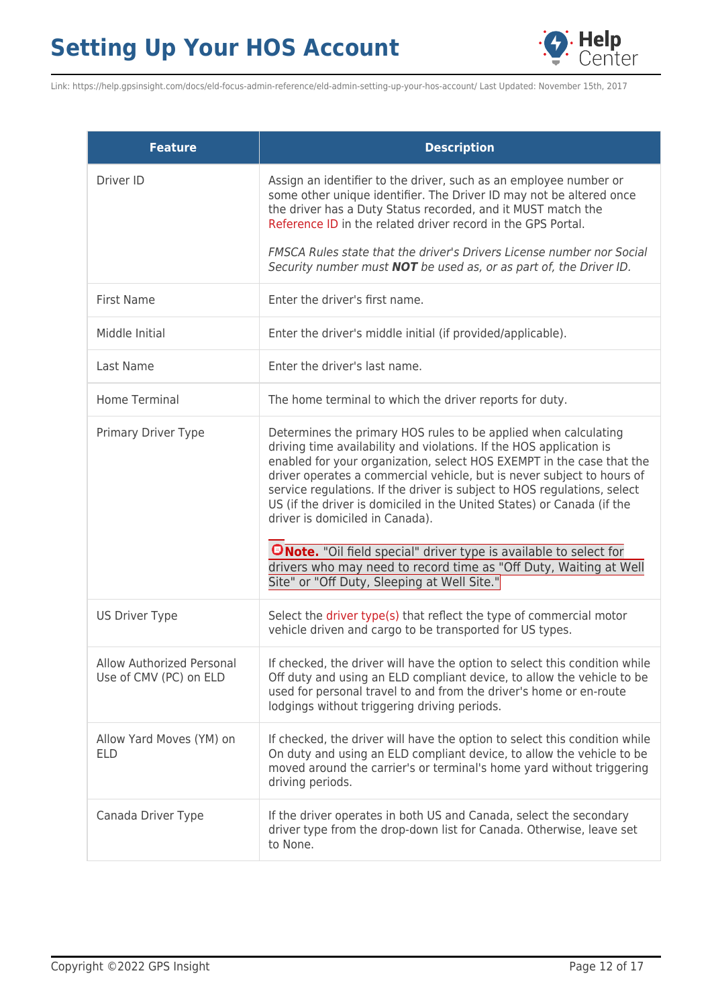

Link: https://help.gpsinsight.com/docs/eld-focus-admin-reference/eld-admin-setting-up-your-hos-account/ Last Updated: November 15th, 2017

| <b>Feature</b>                                      | <b>Description</b>                                                                                                                                                                                                                                                                                                                                                                                                                                                                                                                                                                                                                                                                 |
|-----------------------------------------------------|------------------------------------------------------------------------------------------------------------------------------------------------------------------------------------------------------------------------------------------------------------------------------------------------------------------------------------------------------------------------------------------------------------------------------------------------------------------------------------------------------------------------------------------------------------------------------------------------------------------------------------------------------------------------------------|
| Driver ID                                           | Assign an identifier to the driver, such as an employee number or<br>some other unique identifier. The Driver ID may not be altered once<br>the driver has a Duty Status recorded, and it MUST match the<br>Reference ID in the related driver record in the GPS Portal.                                                                                                                                                                                                                                                                                                                                                                                                           |
|                                                     | FMSCA Rules state that the driver's Drivers License number nor Social<br>Security number must <b>NOT</b> be used as, or as part of, the Driver ID.                                                                                                                                                                                                                                                                                                                                                                                                                                                                                                                                 |
| <b>First Name</b>                                   | Enter the driver's first name.                                                                                                                                                                                                                                                                                                                                                                                                                                                                                                                                                                                                                                                     |
| Middle Initial                                      | Enter the driver's middle initial (if provided/applicable).                                                                                                                                                                                                                                                                                                                                                                                                                                                                                                                                                                                                                        |
| Last Name                                           | Enter the driver's last name.                                                                                                                                                                                                                                                                                                                                                                                                                                                                                                                                                                                                                                                      |
| Home Terminal                                       | The home terminal to which the driver reports for duty.                                                                                                                                                                                                                                                                                                                                                                                                                                                                                                                                                                                                                            |
| Primary Driver Type                                 | Determines the primary HOS rules to be applied when calculating<br>driving time availability and violations. If the HOS application is<br>enabled for your organization, select HOS EXEMPT in the case that the<br>driver operates a commercial vehicle, but is never subject to hours of<br>service regulations. If the driver is subject to HOS regulations, select<br>US (if the driver is domiciled in the United States) or Canada (if the<br>driver is domiciled in Canada).<br><b>ONote.</b> "Oil field special" driver type is available to select for<br>drivers who may need to record time as "Off Duty, Waiting at Well<br>Site" or "Off Duty, Sleeping at Well Site." |
| <b>US Driver Type</b>                               | Select the driver type(s) that reflect the type of commercial motor<br>vehicle driven and cargo to be transported for US types.                                                                                                                                                                                                                                                                                                                                                                                                                                                                                                                                                    |
| Allow Authorized Personal<br>Use of CMV (PC) on ELD | If checked, the driver will have the option to select this condition while<br>Off duty and using an ELD compliant device, to allow the vehicle to be<br>used for personal travel to and from the driver's home or en-route<br>lodgings without triggering driving periods.                                                                                                                                                                                                                                                                                                                                                                                                         |
| Allow Yard Moves (YM) on<br><b>ELD</b>              | If checked, the driver will have the option to select this condition while<br>On duty and using an ELD compliant device, to allow the vehicle to be<br>moved around the carrier's or terminal's home yard without triggering<br>driving periods.                                                                                                                                                                                                                                                                                                                                                                                                                                   |
| Canada Driver Type                                  | If the driver operates in both US and Canada, select the secondary<br>driver type from the drop-down list for Canada. Otherwise, leave set<br>to None.                                                                                                                                                                                                                                                                                                                                                                                                                                                                                                                             |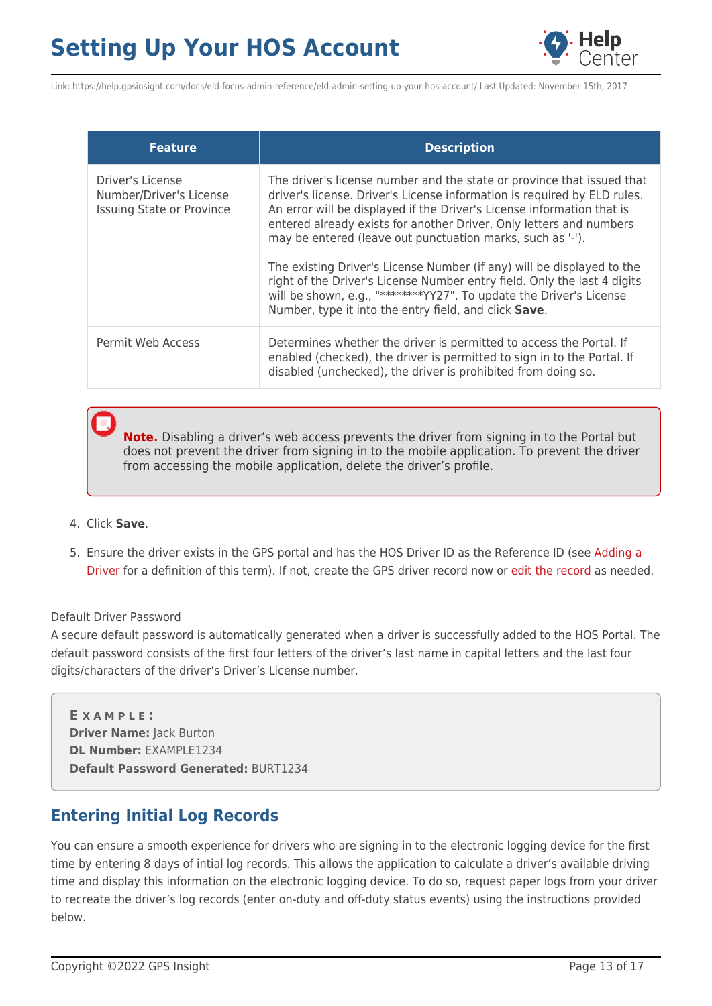

Link: https://help.gpsinsight.com/docs/eld-focus-admin-reference/eld-admin-setting-up-your-hos-account/ Last Updated: November 15th, 2017

| <b>Feature</b>                                                                  | <b>Description</b>                                                                                                                                                                                                                                                                                                                                                                                                                                                                                                                                                                                                                                      |
|---------------------------------------------------------------------------------|---------------------------------------------------------------------------------------------------------------------------------------------------------------------------------------------------------------------------------------------------------------------------------------------------------------------------------------------------------------------------------------------------------------------------------------------------------------------------------------------------------------------------------------------------------------------------------------------------------------------------------------------------------|
| Driver's License<br>Number/Driver's License<br><b>Issuing State or Province</b> | The driver's license number and the state or province that issued that<br>driver's license. Driver's License information is required by ELD rules.<br>An error will be displayed if the Driver's License information that is<br>entered already exists for another Driver. Only letters and numbers<br>may be entered (leave out punctuation marks, such as '-').<br>The existing Driver's License Number (if any) will be displayed to the<br>right of the Driver's License Number entry field. Only the last 4 digits<br>will be shown, e.g., "********YY27". To update the Driver's License<br>Number, type it into the entry field, and click Save. |
| Permit Web Access                                                               | Determines whether the driver is permitted to access the Portal. If<br>enabled (checked), the driver is permitted to sign in to the Portal. If<br>disabled (unchecked), the driver is prohibited from doing so.                                                                                                                                                                                                                                                                                                                                                                                                                                         |

**Note.** Disabling a driver's web access prevents the driver from signing in to the Portal but does not prevent the driver from signing in to the mobile application. To prevent the driver from accessing the mobile application, delete the driver's profile.

- 4. Click **Save**.
- 5. Ensure the driver exists in the GPS portal and has the HOS Driver ID as the Reference ID (see [Adding a](https://help.gpsinsight.com/docs/about-drivers/adding-a-driver/) [Driver](https://help.gpsinsight.com/docs/about-drivers/adding-a-driver/) for a definition of this term). If not, create the GPS driver record now or [edit the record](https://help.gpsinsight.com/docs/about-drivers/editing-a-driver/) as needed.

#### Default Driver Password

A secure default password is automatically generated when a driver is successfully added to the HOS Portal. The default password consists of the first four letters of the driver's last name in capital letters and the last four digits/characters of the driver's Driver's License number.

**E X A M P L E : Driver Name:** Jack Burton **DL Number:** EXAMPLE1234 **Default Password Generated:** BURT1234

## **Entering Initial Log Records**

You can ensure a smooth experience for drivers who are signing in to the electronic logging device for the first time by entering 8 days of intial log records. This allows the application to calculate a driver's available driving time and display this information on the electronic logging device. To do so, request paper logs from your driver to recreate the driver's log records (enter on-duty and off-duty status events) using the instructions provided below.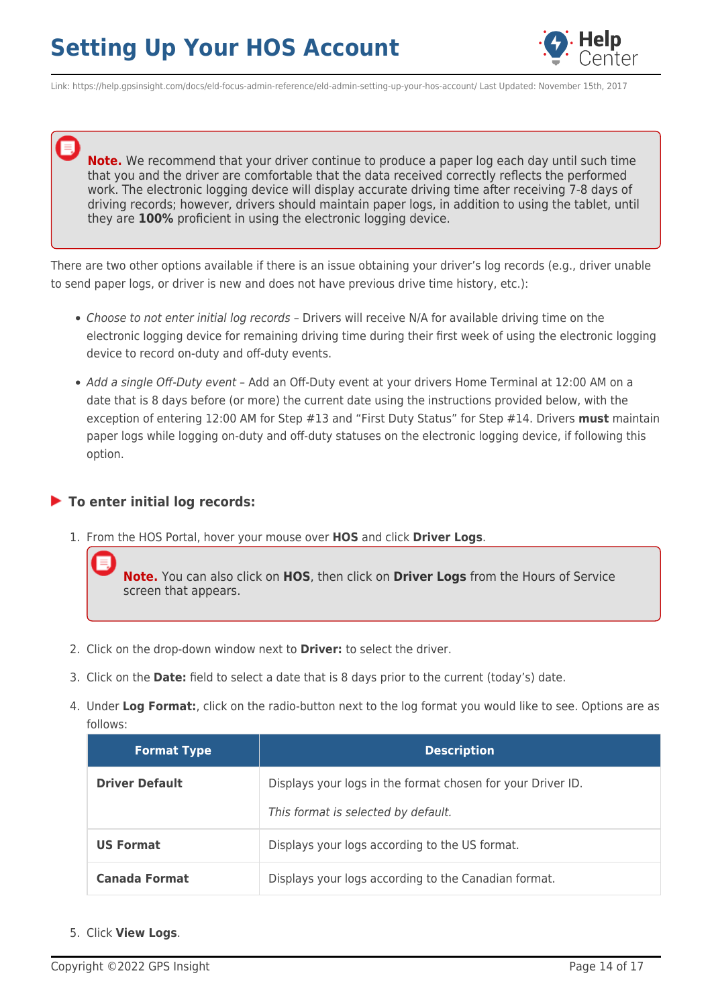

Link: https://help.gpsinsight.com/docs/eld-focus-admin-reference/eld-admin-setting-up-your-hos-account/ Last Updated: November 15th, 2017

**Note.** We recommend that your driver continue to produce a paper log each day until such time that you and the driver are comfortable that the data received correctly reflects the performed work. The electronic logging device will display accurate driving time after receiving 7-8 days of driving records; however, drivers should maintain paper logs, in addition to using the tablet, until they are **100%** proficient in using the electronic logging device.

There are two other options available if there is an issue obtaining your driver's log records (e.g., driver unable to send paper logs, or driver is new and does not have previous drive time history, etc.):

- Choose to not enter initial log records Drivers will receive N/A for available driving time on the electronic logging device for remaining driving time during their first week of using the electronic logging device to record on-duty and off-duty events.
- Add a single Off-Duty event Add an Off-Duty event at your drivers Home Terminal at 12:00 AM on a date that is 8 days before (or more) the current date using the instructions provided below, with the exception of entering 12:00 AM for Step #13 and "First Duty Status" for Step #14. Drivers **must** maintain paper logs while logging on-duty and off-duty statuses on the electronic logging device, if following this option.

### **To enter initial log records:**

1. From the HOS Portal, hover your mouse over **HOS** and click **Driver Logs**.

**Note.** You can also click on **HOS**, then click on **Driver Logs** from the Hours of Service screen that appears.

- 2. Click on the drop-down window next to **Driver:** to select the driver.
- 3. Click on the **Date:** field to select a date that is 8 days prior to the current (today's) date.
- 4. Under **Log Format:**, click on the radio-button next to the log format you would like to see. Options are as follows:

| <b>Format Type</b>    | <b>Description</b>                                                                                 |
|-----------------------|----------------------------------------------------------------------------------------------------|
| <b>Driver Default</b> | Displays your logs in the format chosen for your Driver ID.<br>This format is selected by default. |
| <b>US Format</b>      | Displays your logs according to the US format.                                                     |
| Canada Format         | Displays your logs according to the Canadian format.                                               |

5. Click **View Logs**.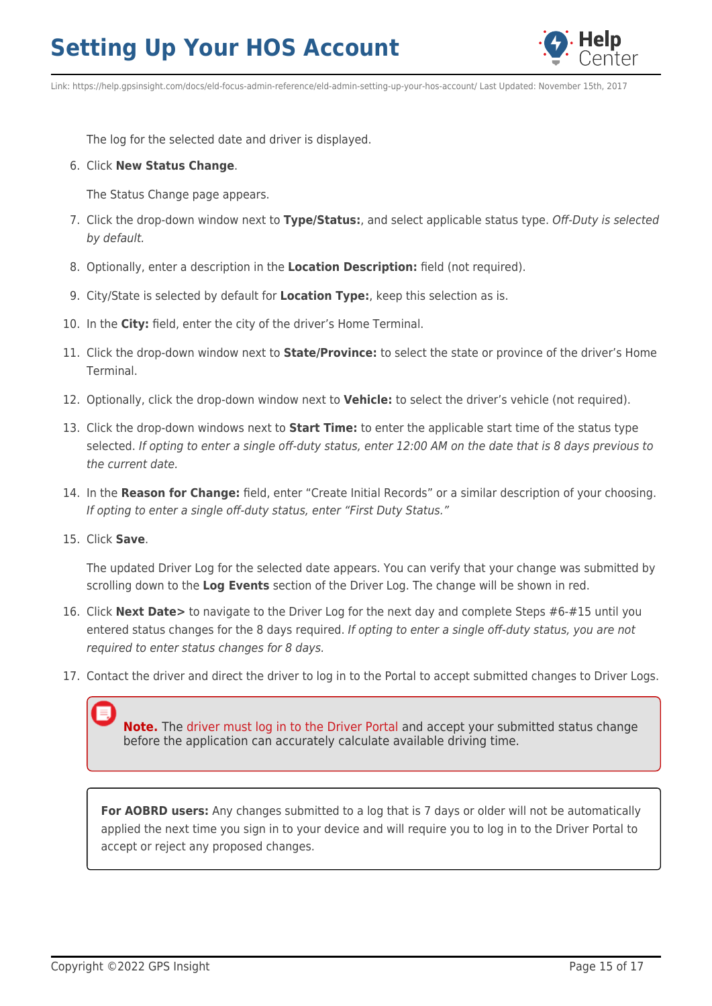

Link: https://help.gpsinsight.com/docs/eld-focus-admin-reference/eld-admin-setting-up-your-hos-account/ Last Updated: November 15th, 2017

The log for the selected date and driver is displayed.

### 6. Click **New Status Change**.

The Status Change page appears.

- 7. Click the drop-down window next to **Type/Status:**, and select applicable status type. Off-Duty is selected by default.
- 8. Optionally, enter a description in the **Location Description:** field (not required).
- 9. City/State is selected by default for **Location Type:**, keep this selection as is.
- 10. In the **City:** field, enter the city of the driver's Home Terminal.
- 11. Click the drop-down window next to **State/Province:** to select the state or province of the driver's Home Terminal.
- 12. Optionally, click the drop-down window next to **Vehicle:** to select the driver's vehicle (not required).
- 13. Click the drop-down windows next to **Start Time:** to enter the applicable start time of the status type selected. If opting to enter a single off-duty status, enter 12:00 AM on the date that is 8 days previous to the current date.
- 14. In the **Reason for Change:** field, enter "Create Initial Records" or a similar description of your choosing. If opting to enter a single off-duty status, enter "First Duty Status."
- 15. Click **Save**.

The updated Driver Log for the selected date appears. You can verify that your change was submitted by scrolling down to the **Log Events** section of the Driver Log. The change will be shown in red.

- 16. Click **Next Date>** to navigate to the Driver Log for the next day and complete Steps #6-#15 until you entered status changes for the 8 days required. If opting to enter a single off-duty status, you are not required to enter status changes for 8 days.
- 17. Contact the driver and direct the driver to log in to the Portal to accept submitted changes to Driver Logs.

**Note.** The [driver must log in to the Driver Portal](https://help.gpsinsight.com/docs/hos/driver-reference/exploring-the-driver-portal/) and accept your submitted status change before the application can accurately calculate available driving time.

**For AOBRD users:** Any changes submitted to a log that is 7 days or older will not be automatically applied the next time you sign in to your device and will require you to log in to the Driver Portal to accept or reject any proposed changes.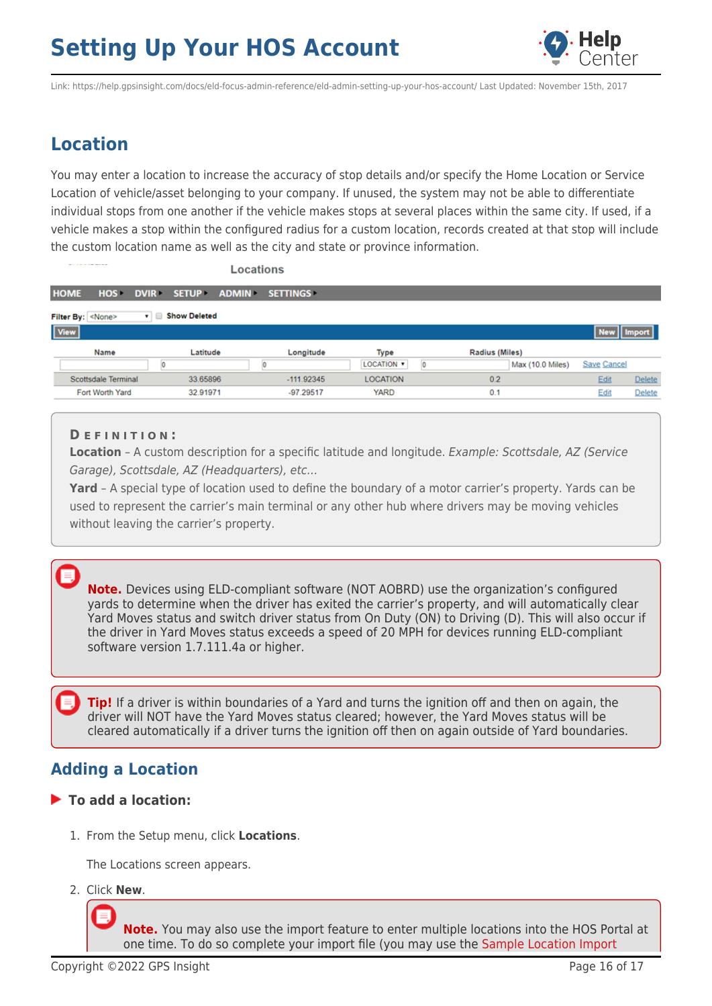

## **Location**

You may enter a location to increase the accuracy of stop details and/or specify the Home Location or Service Location of vehicle/asset belonging to your company. If unused, the system may not be able to differentiate individual stops from one another if the vehicle makes stops at several places within the same city. If used, if a vehicle makes a stop within the configured radius for a custom location, records created at that stop will include the custom location name as well as the city and state or province information.

|                            | Locations   |                     |              |                 |                 |   |                       |                    |               |
|----------------------------|-------------|---------------------|--------------|-----------------|-----------------|---|-----------------------|--------------------|---------------|
| <b>HOME</b><br><b>HOS</b>  | <b>DVIR</b> | SETUP >             | <b>ADMIN</b> | <b>SETTINGS</b> |                 |   |                       |                    |               |
| Filter By: <none></none>   | <b>v</b>    | <b>Show Deleted</b> |              |                 |                 |   |                       |                    |               |
| <b>View</b>                |             |                     |              |                 |                 |   |                       | New Import         |               |
| Name                       |             | Latitude            |              | Longitude       | Type            |   | <b>Radius (Miles)</b> |                    |               |
|                            | o           |                     |              |                 | LOCATION .      | о | Max (10.0 Miles)      | <b>Save Cancel</b> |               |
| <b>Scottsdale Terminal</b> |             | 33.65896            |              | $-111.92345$    | <b>LOCATION</b> |   | 0.2                   | Edit               | Delete        |
| Fort Worth Yard            |             | 32.91971            |              | $-97.29517$     | <b>YARD</b>     |   | 0.1                   | Edit               | <b>Delete</b> |

### **D E F I N I T I O N :**

**Location** - A custom description for a specific latitude and longitude. Example: Scottsdale, AZ (Service Garage), Scottsdale, AZ (Headquarters), etc…

**Yard** – A special type of location used to define the boundary of a motor carrier's property. Yards can be used to represent the carrier's main terminal or any other hub where drivers may be moving vehicles without leaving the carrier's property.

### **Note.** Devices using ELD-compliant software (NOT AOBRD) use the organization's configured yards to determine when the driver has exited the carrier's property, and will automatically clear Yard Moves status and switch driver status from On Duty (ON) to Driving (D). This will also occur if the driver in Yard Moves status exceeds a speed of 20 MPH for devices running ELD-compliant software version 1.7.111.4a or higher.

**Tip!** If a driver is within boundaries of a Yard and turns the ignition off and then on again, the driver will NOT have the Yard Moves status cleared; however, the Yard Moves status will be cleared automatically if a driver turns the ignition off then on again outside of Yard boundaries.

## **Adding a Location**

### **To add a location:**

1. From the Setup menu, click **Locations**.

The Locations screen appears.

2. Click **New**.

**Note.** You may also use the import feature to enter multiple locations into the HOS Portal at one time. To do so complete your import file (you may use the [Sample Location Import](https://help.gpsinsight.com/wp-content/uploads/2018/09/SampleLocationImport.xls)